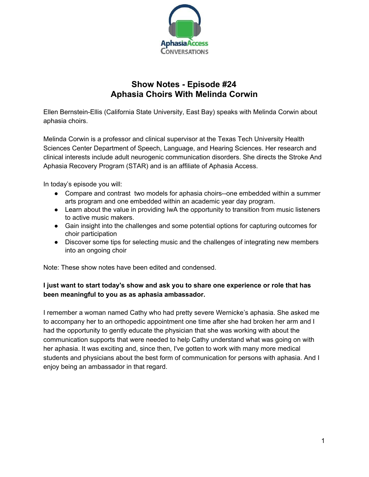

# **Show Notes - Episode #24 Aphasia Choirs With Melinda Corwin**

Ellen Bernstein-Ellis (California State University, East Bay) speaks with Melinda Corwin about aphasia choirs.

Melinda Corwin is a professor and clinical supervisor at the Texas Tech University Health Sciences Center Department of Speech, Language, and Hearing Sciences. Her research and clinical interests include adult neurogenic communication disorders. She directs the Stroke And Aphasia Recovery Program (STAR) and is an affiliate of Aphasia Access.

In today's episode you will:

- Compare and contrast two models for aphasia choirs--one embedded within a summer arts program and one embedded within an academic year day program.
- Learn about the value in providing IwA the opportunity to transition from music listeners to active music makers.
- Gain insight into the challenges and some potential options for capturing outcomes for choir participation
- Discover some tips for selecting music and the challenges of integrating new members into an ongoing choir

Note: These show notes have been edited and condensed.

# **I just want to start today's show and ask you to share one experience or role that has been meaningful to you as as aphasia ambassador.**

I remember a woman named Cathy who had pretty severe Wernicke's aphasia. She asked me to accompany her to an orthopedic appointment one time after she had broken her arm and I had the opportunity to gently educate the physician that she was working with about the communication supports that were needed to help Cathy understand what was going on with her aphasia. It was exciting and, since then, I've gotten to work with many more medical students and physicians about the best form of communication for persons with aphasia. And I enjoy being an ambassador in that regard.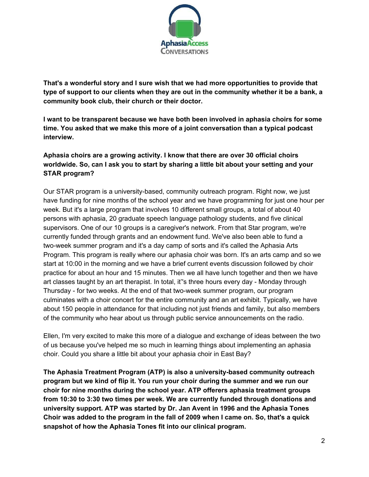

**That's a wonderful story and I sure wish that we had more opportunities to provide that type of support to our clients when they are out in the community whether it be a bank, a community book club, their church or their doctor.**

**I want to be transparent because we have both been involved in aphasia choirs for some time. You asked that we make this more of a joint conversation than a typical podcast interview.**

**Aphasia choirs are a growing activity. I know that there are over 30 official choirs worldwide. So, can I ask you to start by sharing a little bit about your setting and your STAR program?**

Our STAR program is a university-based, community outreach program. Right now, we just have funding for nine months of the school year and we have programming for just one hour per week. But it's a large program that involves 10 different small groups, a total of about 40 persons with aphasia, 20 graduate speech language pathology students, and five clinical supervisors. One of our 10 groups is a caregiver's network. From that Star program, we're currently funded through grants and an endowment fund. We've also been able to fund a two-week summer program and it's a day camp of sorts and it's called the Aphasia Arts Program. This program is really where our aphasia choir was born. It's an arts camp and so we start at 10:00 in the morning and we have a brief current events discussion followed by choir practice for about an hour and 15 minutes. Then we all have lunch together and then we have art classes taught by an art therapist. In total, it''s three hours every day - Monday through Thursday - for two weeks. At the end of that two-week summer program, our program culminates with a choir concert for the entire community and an art exhibit. Typically, we have about 150 people in attendance for that including not just friends and family, but also members of the community who hear about us through public service announcements on the radio.

Ellen, I'm very excited to make this more of a dialogue and exchange of ideas between the two of us because you've helped me so much in learning things about implementing an aphasia choir. Could you share a little bit about your aphasia choir in East Bay?

**The Aphasia Treatment Program (ATP) is also a university-based community outreach program but we kind of flip it. You run your choir during the summer and we run our choir for nine months during the school year. ATP offerers aphasia treatment groups from 10:30 to 3:30 two times per week. We are currently funded through donations and university support. ATP was started by Dr. Jan Avent in 1996 and the Aphasia Tones Choir was added to the program in the fall of 2009 when I came on. So, that's a quick snapshot of how the Aphasia Tones fit into our clinical program.**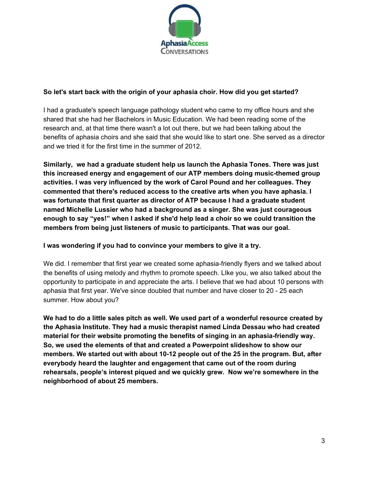

#### **So let's start back with the origin of your aphasia choir. How did you get started?**

I had a graduate's speech language pathology student who came to my office hours and she shared that she had her Bachelors in Music Education. We had been reading some of the research and, at that time there wasn't a lot out there, but we had been talking about the benefits of aphasia choirs and she said that she would like to start one. She served as a director and we tried it for the first time in the summer of 2012.

**Similarly, we had a graduate student help us launch the Aphasia Tones. There was just this increased energy and engagement of our ATP members doing music-themed group activities. I was very influenced by the work of Carol Pound and her colleagues. They commented that there's reduced access to the creative arts when you have aphasia. I was fortunate that first quarter as director of ATP because I had a graduate student named Michelle Lussier who had a background as a singer. She was just courageous enough to say "yes!" when I asked if she'd help lead a choir so we could transition the members from being just listeners of music to participants. That was our goal.**

#### **I was wondering if you had to convince your members to give it a try.**

We did. I remember that first year we created some aphasia-friendly flyers and we talked about the benefits of using melody and rhythm to promote speech. LIke you, we also talked about the opportunity to participate in and appreciate the arts. I believe that we had about 10 persons with aphasia that first year. We've since doubled that number and have closer to 20 - 25 each summer. How about you?

**We had to do a little sales pitch as well. We used part of a wonderful resource created by the Aphasia Institute. They had a music therapist named Linda Dessau who had created material for their website promoting the benefits of singing in an aphasia-friendly way. So, we used the elements of that and created a Powerpoint slideshow to show our members. We started out with about 10-12 people out of the 25 in the program. But, after everybody heard the laughter and engagement that came out of the room during rehearsals, people's interest piqued and we quickly grew. Now we're somewhere in the neighborhood of about 25 members.**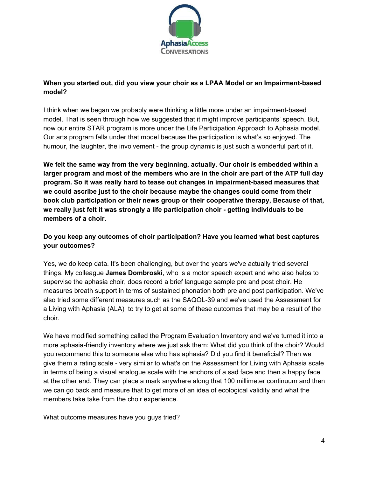

# **When you started out, did you view your choir as a LPAA Model or an Impairment-based model?**

I think when we began we probably were thinking a little more under an impairment-based model. That is seen through how we suggested that it might improve participants' speech. But, now our entire STAR program is more under the Life Participation Approach to Aphasia model. Our arts program falls under that model because the participation is what's so enjoyed. The humour, the laughter, the involvement - the group dynamic is just such a wonderful part of it.

**We felt the same way from the very beginning, actually. Our choir is embedded within a larger program and most of the members who are in the choir are part of the ATP full day program. So it was really hard to tease out changes in impairment-based measures that we could ascribe just to the choir because maybe the changes could come from their book club participation or their news group or their cooperative therapy, Because of that, we really just felt it was strongly a life participation choir - getting individuals to be members of a choir.**

# **Do you keep any outcomes of choir participation? Have you learned what best captures your outcomes?**

Yes, we do keep data. It's been challenging, but over the years we've actually tried several things. My colleague **James Dombroski**, who is a motor speech expert and who also helps to supervise the aphasia choir, does record a brief language sample pre and post choir. He measures breath support in terms of sustained phonation both pre and post participation. We've also tried some different measures such as the SAQOL-39 and we've used the Assessment for a Living with Aphasia (ALA) to try to get at some of these outcomes that may be a result of the choir.

We have modified something called the Program Evaluation Inventory and we've turned it into a more aphasia-friendly inventory where we just ask them: What did you think of the choir? Would you recommend this to someone else who has aphasia? Did you find it beneficial? Then we give them a rating scale - very similar to what's on the Assessment for Living with Aphasia scale in terms of being a visual analogue scale with the anchors of a sad face and then a happy face at the other end. They can place a mark anywhere along that 100 millimeter continuum and then we can go back and measure that to get more of an idea of ecological validity and what the members take take from the choir experience.

What outcome measures have you guys tried?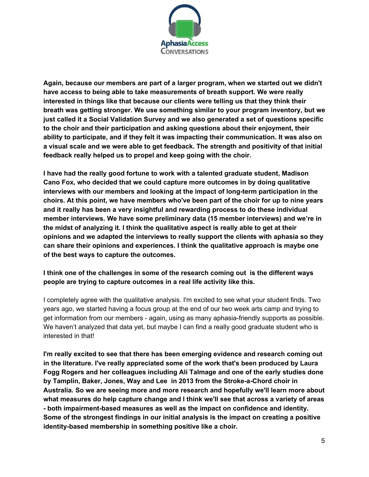

**Again, because our members are part of a larger program, when we started out we didn't have access to being able to take measurements of breath support. We were really interested in things like that because our clients were telling us that they think their breath was getting stronger. We use something similar to your program inventory, but we just called it a Social Validation Survey and we also generated a set of questions specific to the choir and their participation and asking questions about their enjoyment, their ability to participate, and if they felt it was impacting their communication. It was also on a visual scale and we were able to get feedback. The strength and positivity of that initial feedback really helped us to propel and keep going with the choir.**

**I have had the really good fortune to work with a talented graduate student, Madison Cano Fox, who decided that we could capture more outcomes in by doing qualitative interviews with our members and looking at the impact of long-term participation in the choirs. At this point, we have members who've been part of the choir for up to nine years and it really has been a very insightful and rewarding process to do these individual member interviews. We have some preliminary data (15 member interviews) and we're in the midst of analyzing it. I think the qualitative aspect is really able to get at their opinions and we adapted the interviews to really support the clients with aphasia so they can share their opinions and experiences. I think the qualitative approach is maybe one of the best ways to capture the outcomes.**

# **I think one of the challenges in some of the research coming out is the different ways people are trying to capture outcomes in a real life activity like this.**

I completely agree with the qualitative analysis. I'm excited to see what your student finds. Two years ago, we started having a focus group at the end of our two week arts camp and trying to get information from our members - again, using as many aphasia-friendly supports as possible. We haven't analyzed that data yet, but maybe I can find a really good graduate student who is interested in that!

**I'm really excited to see that there has been emerging evidence and research coming out in the literature. I've really appreciated some of the work that's been produced by Laura Fogg Rogers and her colleagues including Ali Talmage and one of the early studies done by Tamplin, Baker, Jones, Way and Lee in 2013 from the Stroke-a-Chord choir in Australia. So we are seeing more and more research and hopefully we'll learn more about what measures do help capture change and I think we'll see that across a variety of areas - both impairment-based measures as well as the impact on confidence and identity. Some of the strongest findings in our initial analysis is the impact on creating a positive identity-based membership in something positive like a choir.**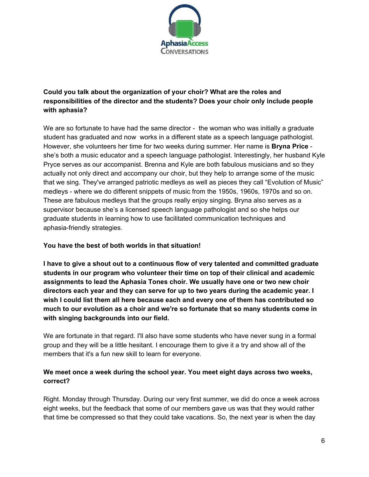

# **Could you talk about the organization of your choir? What are the roles and responsibilities of the director and the students? Does your choir only include people with aphasia?**

We are so fortunate to have had the same director - the woman who was initially a graduate student has graduated and now works in a different state as a speech language pathologist. However, she volunteers her time for two weeks during summer. Her name is **Bryna Price** she's both a music educator and a speech language pathologist. Interestingly, her husband Kyle Pryce serves as our accompanist. Brenna and Kyle are both fabulous musicians and so they actually not only direct and accompany our choir, but they help to arrange some of the music that we sing. They've arranged patriotic medleys as well as pieces they call "Evolution of Music" medleys - where we do different snippets of music from the 1950s, 1960s, 1970s and so on. These are fabulous medleys that the groups really enjoy singing. Bryna also serves as a supervisor because she's a licensed speech language pathologist and so she helps our graduate students in learning how to use facilitated communication techniques and aphasia-friendly strategies.

#### **You have the best of both worlds in that situation!**

**I have to give a shout out to a continuous flow of very talented and committed graduate students in our program who volunteer their time on top of their clinical and academic assignments to lead the Aphasia Tones choir. We usually have one or two new choir directors each year and they can serve for up to two years during the academic year. I wish I could list them all here because each and every one of them has contributed so much to our evolution as a choir and we're so fortunate that so many students come in with singing backgrounds into our field.**

We are fortunate in that regard. I'll also have some students who have never sung in a formal group and they will be a little hesitant. I encourage them to give it a try and show all of the members that it's a fun new skill to learn for everyone.

#### **We meet once a week during the school year. You meet eight days across two weeks, correct?**

Right. Monday through Thursday. During our very first summer, we did do once a week across eight weeks, but the feedback that some of our members gave us was that they would rather that time be compressed so that they could take vacations. So, the next year is when the day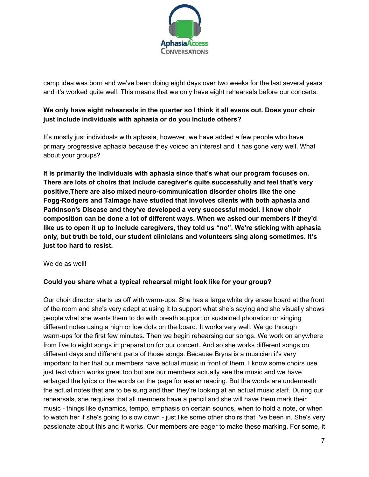

camp idea was born and we've been doing eight days over two weeks for the last several years and it's worked quite well. This means that we only have eight rehearsals before our concerts.

# **We only have eight rehearsals in the quarter so I think it all evens out. Does your choir just include individuals with aphasia or do you include others?**

It's mostly just individuals with aphasia, however, we have added a few people who have primary progressive aphasia because they voiced an interest and it has gone very well. What about your groups?

**It is primarily the individuals with aphasia since that's what our program focuses on. There are lots of choirs that include caregiver's quite successfully and feel that's very positive.There are also mixed neuro-communication disorder choirs like the one Fogg-Rodgers and Talmage have studied that involves clients with both aphasia and Parkinson's Disease and they've developed a very successful model. I know choir composition can be done a lot of different ways. When we asked our members if they'd like us to open it up to include caregivers, they told us "no". We're sticking with aphasia only, but truth be told, our student clinicians and volunteers sing along sometimes. It's just too hard to resist.**

We do as well!

#### **Could you share what a typical rehearsal might look like for your group?**

Our choir director starts us off with warm-ups. She has a large white dry erase board at the front of the room and she's very adept at using it to support what she's saying and she visually shows people what she wants them to do with breath support or sustained phonation or singing different notes using a high or low dots on the board. It works very well. We go through warm-ups for the first few minutes. Then we begin rehearsing our songs. We work on anywhere from five to eight songs in preparation for our concert. And so she works different songs on different days and different parts of those songs. Because Bryna is a musician it's very important to her that our members have actual music in front of them. I know some choirs use just text which works great too but are our members actually see the music and we have enlarged the lyrics or the words on the page for easier reading. But the words are underneath the actual notes that are to be sung and then they're looking at an actual music staff. During our rehearsals, she requires that all members have a pencil and she will have them mark their music - things like dynamics, tempo, emphasis on certain sounds, when to hold a note, or when to watch her if she's going to slow down - just like some other choirs that I've been in. She's very passionate about this and it works. Our members are eager to make these marking. For some, it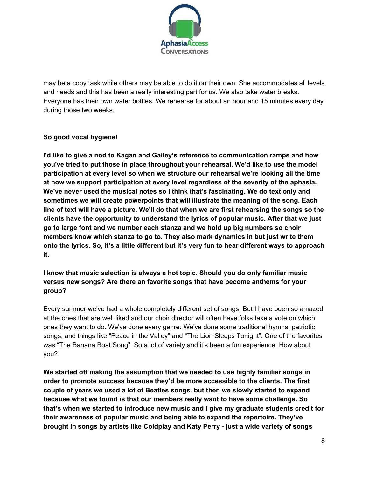

may be a copy task while others may be able to do it on their own. She accommodates all levels and needs and this has been a really interesting part for us. We also take water breaks. Everyone has their own water bottles. We rehearse for about an hour and 15 minutes every day during those two weeks.

# **So good vocal hygiene!**

**I'd like to give a nod to Kagan and Gailey's reference to communication ramps and how you've tried to put those in place throughout your rehearsal. We'd like to use the model participation at every level so when we structure our rehearsal we're looking all the time at how we support participation at every level regardless of the severity of the aphasia. We've never used the musical notes so I think that's fascinating. We do text only and sometimes we will create powerpoints that will illustrate the meaning of the song. Each** line of text will have a picture. We'll do that when we are first rehearsing the songs so the **clients have the opportunity to understand the lyrics of popular music. After that we just go to large font and we number each stanza and we hold up big numbers so choir members know which stanza to go to. They also mark dynamics in but just write them onto the lyrics. So, it's a little different but it's very fun to hear different ways to approach it.**

**I know that music selection is always a hot topic. Should you do only familiar music versus new songs? Are there an favorite songs that have become anthems for your group?**

Every summer we've had a whole completely different set of songs. But I have been so amazed at the ones that are well liked and our choir director will often have folks take a vote on which ones they want to do. We've done every genre. We've done some traditional hymns, patriotic songs, and things like "Peace in the Valley" and "The Lion Sleeps Tonight". One of the favorites was "The Banana Boat Song". So a lot of variety and it's been a fun experience. How about you?

**We started off making the assumption that we needed to use highly familiar songs in order to promote success because they'd be more accessible to the clients. The first couple of years we used a lot of Beatles songs, but then we slowly started to expand because what we found is that our members really want to have some challenge. So that's when we started to introduce new music and I give my graduate students credit for their awareness of popular music and being able to expand the repertoire. They've brought in songs by artists like Coldplay and Katy Perry - just a wide variety of songs**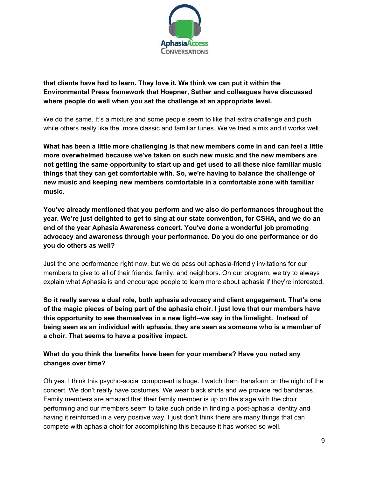

**that clients have had to learn. They love it. We think we can put it within the Environmental Press framework that Hoepner, Sather and colleagues have discussed where people do well when you set the challenge at an appropriate level.**

We do the same. It's a mixture and some people seem to like that extra challenge and push while others really like the more classic and familiar tunes. We've tried a mix and it works well.

**What has been a little more challenging is that new members come in and can feel a little more overwhelmed because we've taken on such new music and the new members are not getting the same opportunity to start up and get used to all these nice familiar music things that they can get comfortable with. So, we're having to balance the challenge of new music and keeping new members comfortable in a comfortable zone with familiar music.**

**You've already mentioned that you perform and we also do performances throughout the year. We're just delighted to get to sing at our state convention, for CSHA, and we do an end of the year Aphasia Awareness concert. You've done a wonderful job promoting advocacy and awareness through your performance. Do you do one performance or do you do others as well?**

Just the one performance right now, but we do pass out aphasia-friendly invitations for our members to give to all of their friends, family, and neighbors. On our program, we try to always explain what Aphasia is and encourage people to learn more about aphasia if they're interested.

**So it really serves a dual role, both aphasia advocacy and client engagement. That's one of the magic pieces of being part of the aphasia choir. I just love that our members have this opportunity to see themselves in a new light--we say in the limelight. Instead of being seen as an individual with aphasia, they are seen as someone who is a member of a choir. That seems to have a positive impact.**

# **What do you think the benefits have been for your members? Have you noted any changes over time?**

Oh yes. I think this psycho-social component is huge. I watch them transform on the night of the concert. We don't really have costumes. We wear black shirts and we provide red bandanas. Family members are amazed that their family member is up on the stage with the choir performing and our members seem to take such pride in finding a post-aphasia identity and having it reinforced in a very positive way. I just don't think there are many things that can compete with aphasia choir for accomplishing this because it has worked so well.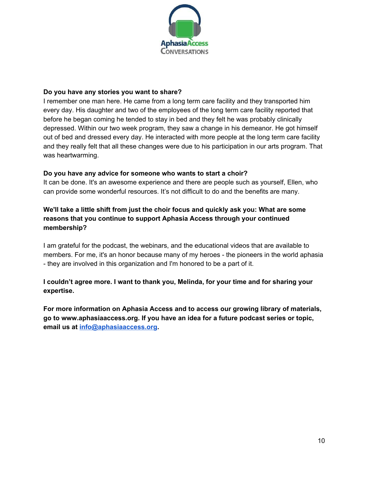

#### **Do you have any stories you want to share?**

I remember one man here. He came from a long term care facility and they transported him every day. His daughter and two of the employees of the long term care facility reported that before he began coming he tended to stay in bed and they felt he was probably clinically depressed. Within our two week program, they saw a change in his demeanor. He got himself out of bed and dressed every day. He interacted with more people at the long term care facility and they really felt that all these changes were due to his participation in our arts program. That was heartwarming.

#### **Do you have any advice for someone who wants to start a choir?**

It can be done. It's an awesome experience and there are people such as yourself, Ellen, who can provide some wonderful resources. It's not difficult to do and the benefits are many.

# **We'll take a little shift from just the choir focus and quickly ask you: What are some reasons that you continue to support Aphasia Access through your continued membership?**

I am grateful for the podcast, the webinars, and the educational videos that are available to members. For me, it's an honor because many of my heroes - the pioneers in the world aphasia - they are involved in this organization and I'm honored to be a part of it.

# **I couldn't agree more. I want to thank you, Melinda, for your time and for sharing your expertise.**

**For more information on Aphasia Access and to access our growing library of materials, go to www.aphasiaaccess.org. If you have an idea for a future podcast series or topic, email us at [info@aphasiaaccess.org](mailto:info@aphasiaaccess.org).**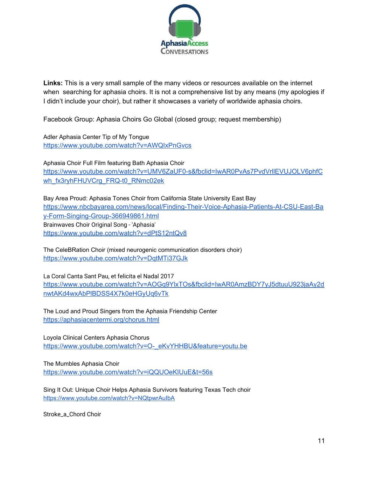

**Links:** This is a very small sample of the many videos or resources available on the internet when searching for aphasia choirs. It is not a comprehensive list by any means (my apologies if I didn't include your choir), but rather it showcases a variety of worldwide aphasia choirs.

Facebook Group: Aphasia Choirs Go Global (closed group; request membership)

Adler Aphasia Center Tip of My Tongue <https://www.youtube.com/watch?v=AWQIxPnGvcs>

Aphasia Choir Full Film featuring Bath Aphasia Choir [https://www.youtube.com/watch?v=UMV6ZaUF0-s&fbclid=IwAR0PvAs7PvdVrllEVUJOLV6phfC](https://www.youtube.com/watch?v=UMV6ZaUF0-s&fbclid=IwAR0PvAs7PvdVrllEVUJOLV6phfCwh_fx3ryhFHUVCrg_FRQ-t0_RNmc02ek) [wh\\_fx3ryhFHUVCrg\\_FRQ-t0\\_RNmc02ek](https://www.youtube.com/watch?v=UMV6ZaUF0-s&fbclid=IwAR0PvAs7PvdVrllEVUJOLV6phfCwh_fx3ryhFHUVCrg_FRQ-t0_RNmc02ek)

Bay Area Proud: Aphasia Tones Choir from California State University East Bay [https://www.nbcbayarea.com/news/local/Finding-Their-Voice-Aphasia-Patients-At-CSU-East-Ba](https://www.nbcbayarea.com/news/local/Finding-Their-Voice-Aphasia-Patients-At-CSU-East-Bay-Form-Singing-Group-366949861.html) [y-Form-Singing-Group-366949861.html](https://www.nbcbayarea.com/news/local/Finding-Their-Voice-Aphasia-Patients-At-CSU-East-Bay-Form-Singing-Group-366949861.html) Brainwaves Choir Original Song - 'Aphasia' <https://www.youtube.com/watch?v=dPtS12ntQv8>

The CeleBRation Choir (mixed neurogenic communication disorders choir) <https://www.youtube.com/watch?v=DqtMTi37GJk>

La Coral Canta Sant Pau, et felicita el Nadal 2017 [https://www.youtube.com/watch?v=AOGq9YlxTOs&fbclid=IwAR0AmzBDY7yJ5dtuuU923jaAy2d](https://www.youtube.com/watch?v=AOGq9YlxTOs&fbclid=IwAR0AmzBDY7yJ5dtuuU923jaAy2dnwtAKd4wxAbPlBDSS4X7k0eHGyUq6vTk) [nwtAKd4wxAbPlBDSS4X7k0eHGyUq6vTk](https://www.youtube.com/watch?v=AOGq9YlxTOs&fbclid=IwAR0AmzBDY7yJ5dtuuU923jaAy2dnwtAKd4wxAbPlBDSS4X7k0eHGyUq6vTk)

The Loud and Proud Singers from the Aphasia Friendship Center <https://aphasiacentermi.org/chorus.html>

Loyola Clinical Centers Aphasia Chorus [https://www.youtube.com/watch?v=O-\\_eKvYHHBU&feature=youtu.be](https://www.youtube.com/watch?v=O-_eKvYHHBU&feature=youtu.be)

The Mumbles Aphasia Choir <https://www.youtube.com/watch?v=iQQUOeKIUuE&t=56s>

Sing It Out: Unique Choir Helps Aphasia Survivors featuring Texas Tech choir <https://www.youtube.com/watch?v=NQtpwrAuIbA>

Stroke\_a\_Chord Choir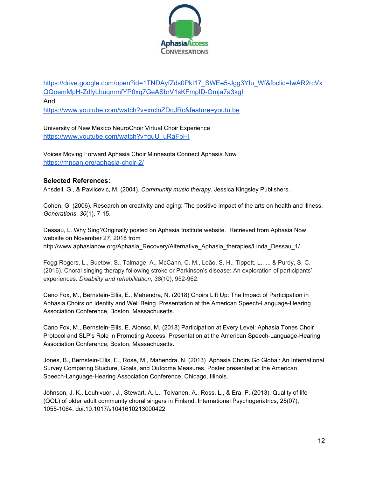

[https://drive.google.com/open?id=1TNDAyfZds0PkI17\\_SWEe5-Jgg3YIu\\_Wf&fbclid=IwAR2rcVx](https://drive.google.com/open?id=1TNDAyfZds0PkI17_SWEe5-Jgg3YIu_Wf&fbclid=IwAR2rcVxQQoemMpH-ZdlyLhuqmmfYP0xq7GeASbrV1sKFmpID-Omja7a3kgI) [QQoemMpH-ZdlyLhuqmmfYP0xq7GeASbrV1sKFmpID-Omja7a3kgI](https://drive.google.com/open?id=1TNDAyfZds0PkI17_SWEe5-Jgg3YIu_Wf&fbclid=IwAR2rcVxQQoemMpH-ZdlyLhuqmmfYP0xq7GeASbrV1sKFmpID-Omja7a3kgI) And <https://www.youtube.com/watch?v=xrclnZDqJRc&feature=youtu.be>

University of New Mexico NeuroChoir Virtual Choir Experience [https://www.youtube.com/watch?v=guU\\_uRaFbHI](https://www.youtube.com/watch?v=guU_uRaFbHI)

Voices Moving Forward Aphasia Choir Minnesota Connect Aphasia Now <https://mncan.org/aphasia-choir-2/>

#### **Selected References:**

Ansdell, G., & Pavlicevic, M. (2004). *Community music therapy*. Jessica Kingsley Publishers.

Cohen, G. (2006). Research on creativity and aging: The positive impact of the arts on health and illness. *Generations*, *30*(1), 7-15.

Dessau, L. Why Sing?Originally posted on Aphasia Institute website. Retrieved from Aphasia Now website on November 27, 2018 from http://www.aphasianow.org/Aphasia\_Recovery/Alternative\_Aphasia\_therapies/Linda\_Dessau\_1/

Fogg-Rogers, L., Buetow, S., Talmage, A., McCann, C. M., Leão, S. H., Tippett, L., ... & Purdy, S. C. (2016). Choral singing therapy following stroke or Parkinson's disease: An exploration of participants' experiences. *Disability and rehabilitation*, *38*(10), 952-962.

Cano Fox, M., Bernstein-Ellis, E., Mahendra, N. (2018) Choirs Lift Up: The Impact of Participation in Aphasia Choirs on Identity and Well Being. Presentation at the American Speech-Language-Hearing Association Conference, Boston, Massachusetts.

Cano Fox, M., Bernstein-Ellis, E. Alonso, M. (2018) Participation at Every Level: Aphasia Tones Choir Protocol and SLP's Role in Promoting Access. Presentation at the American Speech-Language-Hearing Association Conference, Boston, Massachusetts.

Jones, B., Bernstein-Ellis, E., Rose, M., Mahendra, N. (2013) Aphasia Choirs Go Global: An International Survey Comparing Stucture, Goals, and Outcome Measures. Poster presented at the American Speech-Language-Hearing Association Conference, Chicago, Illinois.

Johnson, J. K., Louhivuori, J., Stewart, A. L., Tolvanen, A., Ross, L., & Era, P. (2013). Quality of life (QOL) of older adult community choral singers in Finland. International Psychogeriatrics, 25(07), 1055-1064. doi:10.1017/s1041610213000422